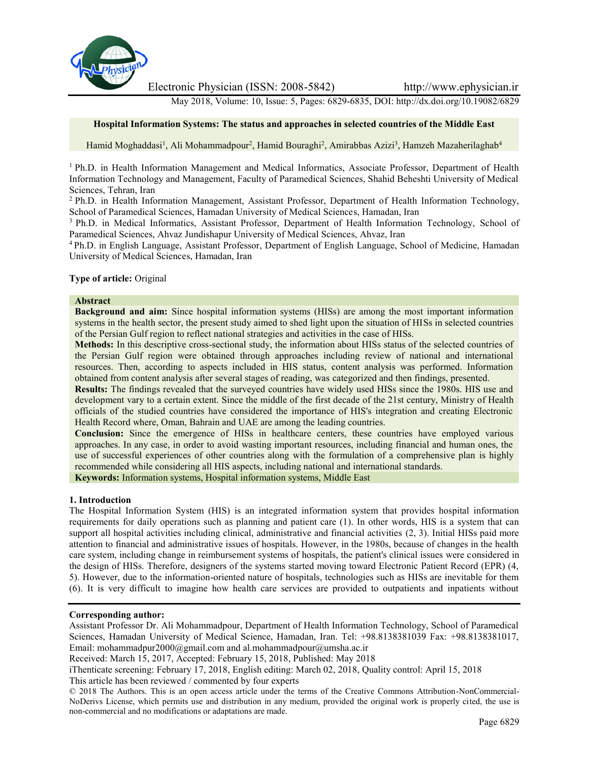

Electronic Physician (ISSN: 2008-5842) http://www.ephysician.ir

May 2018, Volume: 10, Issue: 5, Pages: 6829-6835, DOI: http://dx.doi.org/10.19082/6829

# **Hospital Information Systems: The status and approaches in selected countries of the Middle East**

Hamid Moghaddasi<sup>1</sup>, Ali Mohammadpour<sup>2</sup>, Hamid Bouraghi<sup>2</sup>, Amirabbas Azizi<sup>3</sup>, Hamzeh Mazaherilaghab<sup>4</sup>

<sup>1</sup> Ph.D. in Health Information Management and Medical Informatics, Associate Professor, Department of Health Information Technology and Management, Faculty of Paramedical Sciences, Shahid Beheshti University of Medical Sciences, Tehran, Iran

<sup>2</sup> Ph.D. in Health Information Management, Assistant Professor, Department of Health Information Technology, School of Paramedical Sciences, Hamadan University of Medical Sciences, Hamadan, Iran

<sup>3</sup> Ph.D. in Medical Informatics, Assistant Professor, Department of Health Information Technology, School of Paramedical Sciences, Ahvaz Jundishapur University of Medical Sciences, Ahvaz, Iran

<sup>4</sup> Ph.D. in English Language, Assistant Professor, Department of English Language, School of Medicine, Hamadan University of Medical Sciences, Hamadan, Iran

## **Type of article:** Original

## **Abstract**

**Background and aim:** Since hospital information systems (HISs) are among the most important information systems in the health sector, the present study aimed to shed light upon the situation of HISs in selected countries of the Persian Gulf region to reflect national strategies and activities in the case of HISs.

**Methods:** In this descriptive cross-sectional study, the information about HISs status of the selected countries of the Persian Gulf region were obtained through approaches including review of national and international resources. Then, according to aspects included in HIS status, content analysis was performed. Information obtained from content analysis after several stages of reading, was categorized and then findings, presented.

**Results:** The findings revealed that the surveyed countries have widely used HISs since the 1980s. HIS use and development vary to a certain extent. Since the middle of the first decade of the 21st century, Ministry of Health officials of the studied countries have considered the importance of HIS's integration and creating Electronic Health Record where, Oman, Bahrain and UAE are among the leading countries.

**Conclusion:** Since the emergence of HISs in healthcare centers, these countries have employed various approaches. In any case, in order to avoid wasting important resources, including financial and human ones, the use of successful experiences of other countries along with the formulation of a comprehensive plan is highly recommended while considering all HIS aspects, including national and international standards.

**Keywords:** Information systems, Hospital information systems, Middle East

### **1. Introduction**

The Hospital Information System (HIS) is an integrated information system that provides hospital information requirements for daily operations such as planning and patient care (1). In other words, HIS is a system that can support all hospital activities including clinical, administrative and financial activities (2, 3). Initial HISs paid more attention to financial and administrative issues of hospitals. However, in the 1980s, because of changes in the health care system, including change in reimbursement systems of hospitals, the patient's clinical issues were considered in the design of HISs. Therefore, designers of the systems started moving toward Electronic Patient Record (EPR) (4, 5). However, due to the information-oriented nature of hospitals, technologies such as HISs are inevitable for them (6). It is very difficult to imagine how health care services are provided to outpatients and inpatients without

# **Corresponding author:**

Assistant Professor Dr. Ali Mohammadpour, Department of Health Information Technology, School of Paramedical Sciences, Hamadan University of Medical Science, Hamadan, Iran. Tel: +98.8138381039 Fax: +98.8138381017, Email: mohammadpur2000@gmail.com and al.mohammadpour@umsha.ac.ir

Received: March 15, 2017, Accepted: February 15, 2018, Published: May 2018

iThenticate screening: February 17, 2018, English editing: March 02, 2018, Quality control: April 15, 2018 This article has been reviewed / commented by four experts

<sup>© 2018</sup> The Authors. This is an open access article under the terms of the Creative Commons Attribution-NonCommercial- NoDerivs License, which permits use and distribution in any medium, provided the original work is properly cited, the use is non-commercial and no modifications or adaptations are made.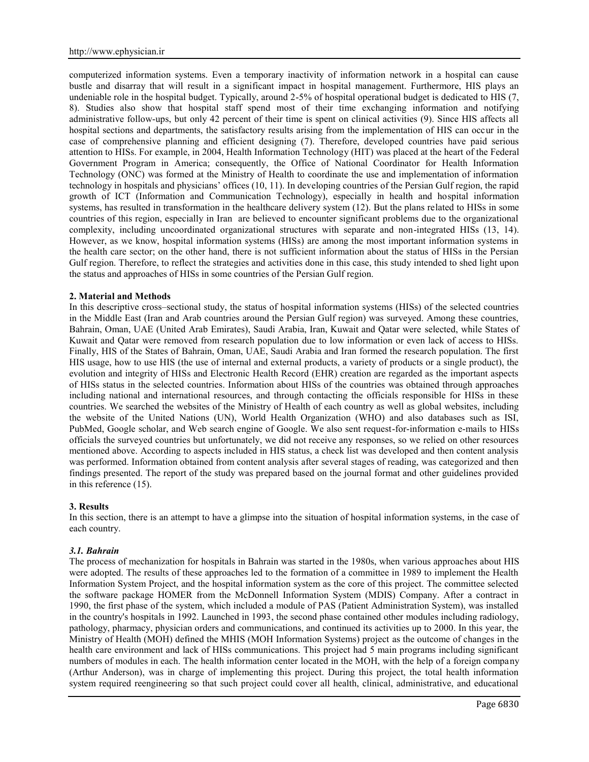computerized information systems. Even a temporary inactivity of information network in a hospital can cause bustle and disarray that will result in a significant impact in hospital management. Furthermore, HIS plays an undeniable role in the hospital budget. Typically, around 2-5% of hospital operational budget is dedicated to HIS (7, 8). Studies also show that hospital staff spend most of their time exchanging information and notifying administrative follow-ups, but only 42 percent of their time is spent on clinical activities (9). Since HIS affects all hospital sections and departments, the satisfactory results arising from the implementation of HIS can occur in the case of comprehensive planning and efficient designing (7). Therefore, developed countries have paid serious attention to HISs. For example, in 2004, Health Information Technology (HIT) was placed at the heart of the Federal Government Program in America; consequently, the Office of National Coordinator for Health Information Technology (ONC) was formed at the Ministry of Health to coordinate the use and implementation of information technology in hospitals and physicians' offices (10, 11). In developing countries of the Persian Gulf region, the rapid growth of ICT (Information and Communication Technology), especially in health and hospital information systems, has resulted in transformation in the healthcare delivery system (12). But the plans related to HISs in some countries of this region, especially in Iran are believed to encounter significant problems due to the organizational complexity, including uncoordinated organizational structures with separate and non-integrated HISs (13, 14). However, as we know, hospital information systems (HISs) are among the most important information systems in the health care sector; on the other hand, there is not sufficient information about the status of HISs in the Persian Gulf region. Therefore, to reflect the strategies and activities done in this case, this study intended to shed light upon the status and approaches of HISs in some countries of the Persian Gulf region.

## **2. Material and Methods**

In this descriptive cross–sectional study, the status of hospital information systems (HISs) of the selected countries in the Middle East (Iran and Arab countries around the Persian Gulf region) was surveyed. Among these countries, Bahrain, Oman, UAE (United Arab Emirates), Saudi Arabia, Iran, Kuwait and Qatar were selected, while States of Kuwait and Qatar were removed from research population due to low information or even lack of access to HISs. Finally, HIS of the States of Bahrain, Oman, UAE, Saudi Arabia and Iran formed the research population. The first HIS usage, how to use HIS (the use of internal and external products, a variety of products or a single product), the evolution and integrity of HISs and Electronic Health Record (EHR) creation are regarded as the important aspects of HISs status in the selected countries. Information about HISs of the countries was obtained through approaches including national and international resources, and through contacting the officials responsible for HISs in these countries. We searched the websites of the Ministry of Health of each country as well as global websites, including the website of the United Nations (UN), World Health Organization (WHO) and also databases such as ISI, PubMed, Google scholar, and Web search engine of Google. We also sent request-for-information e-mails to HISs officials the surveyed countries but unfortunately, we did not receive any responses, so we relied on other resources mentioned above. According to aspects included in HIS status, a check list was developed and then content analysis was performed. Information obtained from content analysis after several stages of reading, was categorized and then findings presented. The report of the study was prepared based on the journal format and other guidelines provided in this reference (15).

#### **3. Results**

In this section, there is an attempt to have a glimpse into the situation of hospital information systems, in the case of each country.

#### *3.1. Bahrain*

The process of mechanization for hospitals in Bahrain was started in the 1980s, when various approaches about HIS were adopted. The results of these approaches led to the formation of a committee in 1989 to implement the Health Information System Project, and the hospital information system as the core of this project. The committee selected the software package HOMER from the McDonnell Information System (MDIS) Company. After a contract in 1990, the first phase of the system, which included a module of PAS (Patient Administration System), was installed in the country's hospitals in 1992. Launched in 1993, the second phase contained other modules including radiology, pathology, pharmacy, physician orders and communications, and continued its activities up to 2000. In this year, the Ministry of Health (MOH) defined the MHIS (MOH Information Systems) project as the outcome of changes in the health care environment and lack of HISs communications. This project had 5 main programs including significant numbers of modules in each. The health information center located in the MOH, with the help of a foreign company (Arthur Anderson), was in charge of implementing this project. During this project, the total health information system required reengineering so that such project could cover all health, clinical, administrative, and educational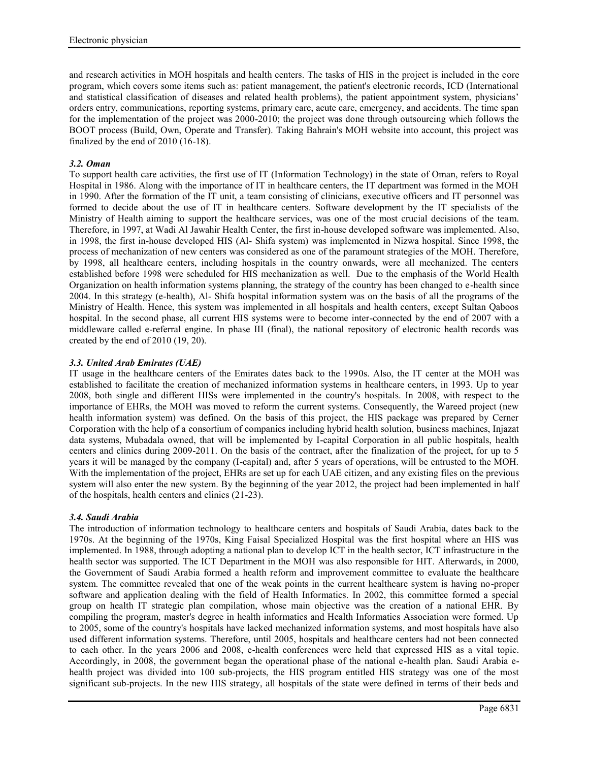and research activities in MOH hospitals and health centers. The tasks of HIS in the project is included in the core program, which covers some items such as: patient management, the patient's electronic records, ICD (International and statistical classification of diseases and related health problems), the patient appointment system, physicians' orders entry, communications, reporting systems, primary care, acute care, emergency, and accidents. The time span for the implementation of the project was 2000-2010; the project was done through outsourcing which follows the BOOT process (Build, Own, Operate and Transfer). Taking Bahrain's MOH website into account, this project was finalized by the end of 2010 (16-18).

# *3.2. Oman*

To support health care activities, the first use of IT (Information Technology) in the state of Oman, refers to Royal Hospital in 1986. Along with the importance of IT in healthcare centers, the IT department was formed in the MOH in 1990. After the formation of the IT unit, a team consisting of clinicians, executive officers and IT personnel was formed to decide about the use of IT in healthcare centers. Software development by the IT specialists of the Ministry of Health aiming to support the healthcare services, was one of the most crucial decisions of the team. Therefore, in 1997, at Wadi Al Jawahir Health Center, the first in-house developed software was implemented. Also, in 1998, the first in-house developed HIS (Al- Shifa system) was implemented in Nizwa hospital. Since 1998, the process of mechanization of new centers was considered as one of the paramount strategies of the MOH. Therefore, by 1998, all healthcare centers, including hospitals in the country onwards, were all mechanized. The centers established before 1998 were scheduled for HIS mechanization as well. Due to the emphasis of the World Health Organization on health information systems planning, the strategy of the country has been changed to e-health since 2004. In this strategy (e-health), Al- Shifa hospital information system was on the basis of all the programs of the Ministry of Health. Hence, this system was implemented in all hospitals and health centers, except Sultan Qaboos hospital. In the second phase, all current HIS systems were to become inter-connected by the end of 2007 with a middleware called e-referral engine. In phase III (final), the national repository of electronic health records was created by the end of 2010 (19, 20).

# *3.3. United Arab Emirates (UAE)*

IT usage in the healthcare centers of the Emirates dates back to the 1990s. Also, the IT center at the MOH was established to facilitate the creation of mechanized information systems in healthcare centers, in 1993. Up to year 2008, both single and different HISs were implemented in the country's hospitals. In 2008, with respect to the importance of EHRs, the MOH was moved to reform the current systems. Consequently, the Wareed project (new health information system) was defined. On the basis of this project, the HIS package was prepared by Cerner Corporation with the help of a consortium of companies including hybrid health solution, business machines, Injazat data systems, Mubadala owned, that will be implemented by I-capital Corporation in all public hospitals, health centers and clinics during 2009-2011. On the basis of the contract, after the finalization of the project, for up to 5 years it will be managed by the company (I-capital) and, after 5 years of operations, will be entrusted to the MOH. With the implementation of the project, EHRs are set up for each UAE citizen, and any existing files on the previous system will also enter the new system. By the beginning of the year 2012, the project had been implemented in half of the hospitals, health centers and clinics (21-23).

# *3.4. Saudi Arabia*

The introduction of information technology to healthcare centers and hospitals of Saudi Arabia, dates back to the 1970s. At the beginning of the 1970s, King Faisal Specialized Hospital was the first hospital where an HIS was implemented. In 1988, through adopting a national plan to develop ICT in the health sector, ICT infrastructure in the health sector was supported. The ICT Department in the MOH was also responsible for HIT. Afterwards, in 2000, the Government of Saudi Arabia formed a health reform and improvement committee to evaluate the healthcare system. The committee revealed that one of the weak points in the current healthcare system is having no-proper software and application dealing with the field of Health Informatics. In 2002, this committee formed a special group on health IT strategic plan compilation, whose main objective was the creation of a national EHR. By compiling the program, master's degree in health informatics and Health Informatics Association were formed. Up to 2005, some of the country's hospitals have lacked mechanized information systems, and most hospitals have also used different information systems. Therefore, until 2005, hospitals and healthcare centers had not been connected to each other. In the years 2006 and 2008, e-health conferences were held that expressed HIS as a vital topic. Accordingly, in 2008, the government began the operational phase of the national e-health plan. Saudi Arabia e health project was divided into 100 sub-projects, the HIS program entitled HIS strategy was one of the most significant sub-projects. In the new HIS strategy, all hospitals of the state were defined in terms of their beds and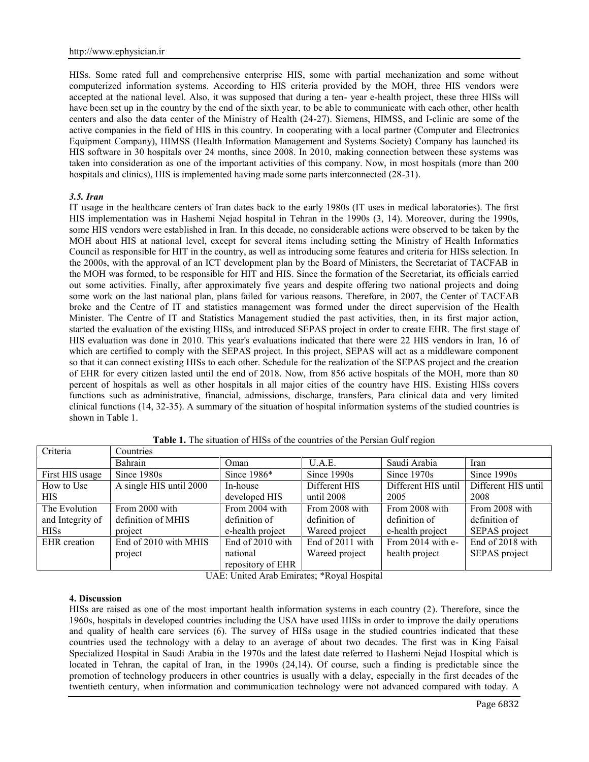HISs. Some rated full and comprehensive enterprise HIS, some with partial mechanization and some without computerized information systems. According to HIS criteria provided by the MOH, three HIS vendors were accepted at the national level. Also, it was supposed that during a ten- year e-health project, these three HISs will have been set up in the country by the end of the sixth year, to be able to communicate with each other, other health centers and also the data center of the Ministry of Health (24-27). Siemens, HIMSS, and I-clinic are some of the active companies in the field of HIS in this country. In cooperating with a local partner (Computer and Electronics Equipment Company), HIMSS (Health Information Management and Systems Society) Company has launched its HIS software in 30 hospitals over 24 months, since 2008. In 2010, making connection between these systems was taken into consideration as one of the important activities of this company. Now, in most hospitals (more than 200 hospitals and clinics), HIS is implemented having made some parts interconnected (28-31).

## *3.5. Iran*

IT usage in the healthcare centers of Iran dates back to the early 1980s (IT uses in medical laboratories). The first HIS implementation was in Hashemi Nejad hospital in Tehran in the 1990s (3, 14). Moreover, during the 1990s, some HIS vendors were established in Iran. In this decade, no considerable actions were observed to be taken by the MOH about HIS at national level, except for several items including setting the Ministry of Health Informatics Council as responsible for HIT in the country, as well as introducing some features and criteria for HISs selection. In the 2000s, with the approval of an ICT development plan by the Board of Ministers, the Secretariat of TACFAB in the MOH was formed, to be responsible for HIT and HIS. Since the formation of the Secretariat, its officials carried out some activities. Finally, after approximately five years and despite offering two national projects and doing some work on the last national plan, plans failed for various reasons. Therefore, in 2007, the Center of TACFAB broke and the Centre of IT and statistics management was formed under the direct supervision of the Health Minister. The Centre of IT and Statistics Management studied the past activities, then, in its first major action, started the evaluation of the existing HISs, and introduced SEPAS project in order to create EHR. The first stage of HIS evaluation was done in 2010. This year's evaluations indicated that there were 22 HIS vendors in Iran, 16 of which are certified to comply with the SEPAS project. In this project, SEPAS will act as a middleware component so that it can connect existing HISs to each other. Schedule for the realization of the SEPAS project and the creation of EHR for every citizen lasted until the end of 2018. Now, from 856 active hospitals of the MOH, more than 80 percent of hospitals as well as other hospitals in all major cities of the country have HIS. Existing HISs covers functions such as administrative, financial, admissions, discharge, transfers, Para clinical data and very limited clinical functions (14, 32-35). A summary of the situation of hospital information systems of the studied countries is shown in Table 1.

| Criteria            | Countries               |                   |                  |                     |                     |
|---------------------|-------------------------|-------------------|------------------|---------------------|---------------------|
|                     | Bahrain                 | Oman              | U.A.E.           | Saudi Arabia        | Iran                |
| First HIS usage     | Since 1980s             | Since 1986*       | Since 1990s      | Since 1970s         | Since 1990s         |
| How to Use          | A single HIS until 2000 | In-house          | Different HIS    | Different HIS until | Different HIS until |
| <b>HIS</b>          |                         | developed HIS     | until 2008       | 2005                | 2008                |
| The Evolution       | From 2000 with          | From 2004 with    | From 2008 with   | From 2008 with      | From 2008 with      |
| and Integrity of    | definition of MHIS      | definition of     | definition of    | definition of       | definition of       |
| <b>HISs</b>         | project                 | e-health project  | Wareed project   | e-health project    | SEPAS project       |
| <b>EHR</b> creation | End of 2010 with MHIS   | End of 2010 with  | End of 2011 with | From 2014 with e-   | End of 2018 with    |
|                     | project                 | national          | Wareed project   | health project      | SEPAS project       |
|                     |                         | repository of EHR |                  |                     |                     |

**Table 1.** The situation of HISs of the countries of the Persian Gulf region

UAE: United Arab Emirates; \*Royal Hospital

# **4. Discussion**

HISs are raised as one of the most important health information systems in each country (2). Therefore, since the 1960s, hospitals in developed countries including the USA have used HISs in order to improve the daily operations and quality of health care services (6). The survey of HISs usage in the studied countries indicated that these countries used the technology with a delay to an average of about two decades. The first was in King Faisal Specialized Hospital in Saudi Arabia in the 1970s and the latest date referred to Hashemi Nejad Hospital which is located in Tehran, the capital of Iran, in the 1990s (24,14). Of course, such a finding is predictable since the promotion of technology producers in other countries is usually with a delay, especially in the first decades of the twentieth century, when information and communication technology were not advanced compared with today. A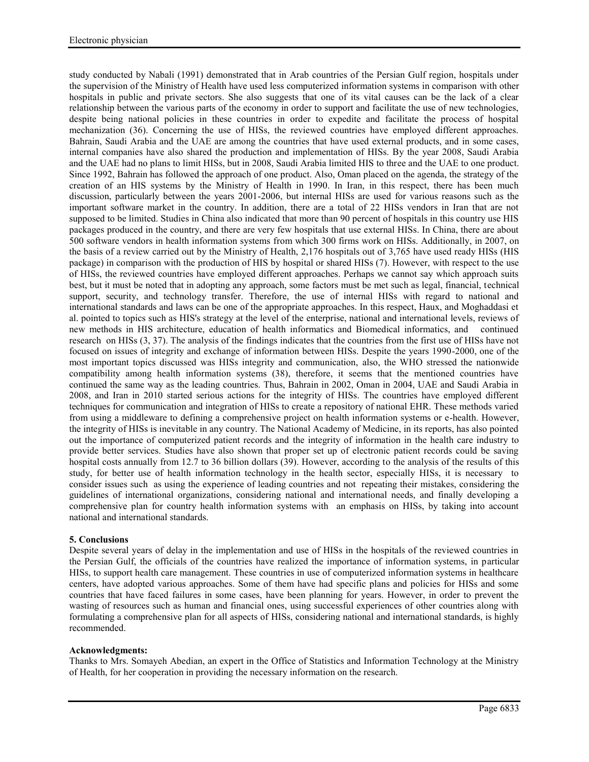study conducted by Nabali (1991) demonstrated that in Arab countries of the Persian Gulf region, hospitals under the supervision of the Ministry of Health have used less computerized information systems in comparison with other hospitals in public and private sectors. She also suggests that one of its vital causes can be the lack of a clear relationship between the various parts of the economy in order to support and facilitate the use of new technologies, despite being national policies in these countries in order to expedite and facilitate the process of hospital mechanization (36). Concerning the use of HISs, the reviewed countries have employed different approaches. Bahrain, Saudi Arabia and the UAE are among the countries that have used external products, and in some cases, internal companies have also shared the production and implementation of HISs. By the year 2008, Saudi Arabia and the UAE had no plans to limit HISs, but in 2008, Saudi Arabia limited HIS to three and the UAE to one product. Since 1992, Bahrain has followed the approach of one product. Also, Oman placed on the agenda, the strategy of the creation of an HIS systems by the Ministry of Health in 1990. In Iran, in this respect, there has been much discussion, particularly between the years 2001-2006, but internal HISs are used for various reasons such as the important software market in the country. In addition, there are a total of 22 HISs vendors in Iran that are not supposed to be limited. Studies in China also indicated that more than 90 percent of hospitals in this country use HIS packages produced in the country, and there are very few hospitals that use external HISs. In China, there are about 500 software vendors in health information systems from which 300 firms work on HISs. Additionally, in 2007, on the basis of a review carried out by the Ministry of Health, 2,176 hospitals out of 3,765 have used ready HISs (HIS package) in comparison with the production of HIS by hospital or shared HISs (7). However, with respect to the use of HISs, the reviewed countries have employed different approaches. Perhaps we cannot say which approach suits best, but it must be noted that in adopting any approach, some factors must be met such as legal, financial, technical support, security, and technology transfer. Therefore, the use of internal HISs with regard to national and international standards and laws can be one of the appropriate approaches. In this respect, Haux, and Moghaddasi et al. pointed to topics such as HIS's strategy at the level of the enterprise, national and international levels, reviews of new methods in HIS architecture, education of health informatics and Biomedical informatics, and continued research on HISs (3, 37). The analysis of the findings indicates that the countries from the first use of HISs have not focused on issues of integrity and exchange of information between HISs. Despite the years 1990-2000, one of the most important topics discussed was HISs integrity and communication, also, the WHO stressed the nationwide compatibility among health information systems (38), therefore, it seems that the mentioned countries have continued the same way as the leading countries. Thus, Bahrain in 2002, Oman in 2004, UAE and Saudi Arabia in 2008, and Iran in 2010 started serious actions for the integrity of HISs. The countries have employed different techniques for communication and integration of HISs to create a repository of national EHR. These methods varied from using a middleware to defining a comprehensive project on health information systems or e-health. However, the integrity of HISs is inevitable in any country. The National Academy of Medicine, in its reports, has also pointed out the importance of computerized patient records and the integrity of information in the health care industry to provide better services. Studies have also shown that proper set up of electronic patient records could be saving hospital costs annually from 12.7 to 36 billion dollars (39). However, according to the analysis of the results of this study, for better use of health information technology in the health sector, especially HISs, it is necessary to consider issues such as using the experience of leading countries and not repeating their mistakes, considering the guidelines of international organizations, considering national and international needs, and finally developing a comprehensive plan for country health information systems with an emphasis on HISs, by taking into account national and international standards.

# **5. Conclusions**

Despite several years of delay in the implementation and use of HISs in the hospitals of the reviewed countries in the Persian Gulf, the officials of the countries have realized the importance of information systems, in particular HISs, to support health care management. These countries in use of computerized information systems in healthcare centers, have adopted various approaches. Some of them have had specific plans and policies for HISs and some countries that have faced failures in some cases, have been planning for years. However, in order to prevent the wasting of resources such as human and financial ones, using successful experiences of other countries along with formulating a comprehensive plan for all aspects of HISs, considering national and international standards, is highly recommended.

# **Acknowledgments:**

Thanks to Mrs. Somayeh Abedian, an expert in the Office of Statistics and Information Technology at the Ministry of Health, for her cooperation in providing the necessary information on the research.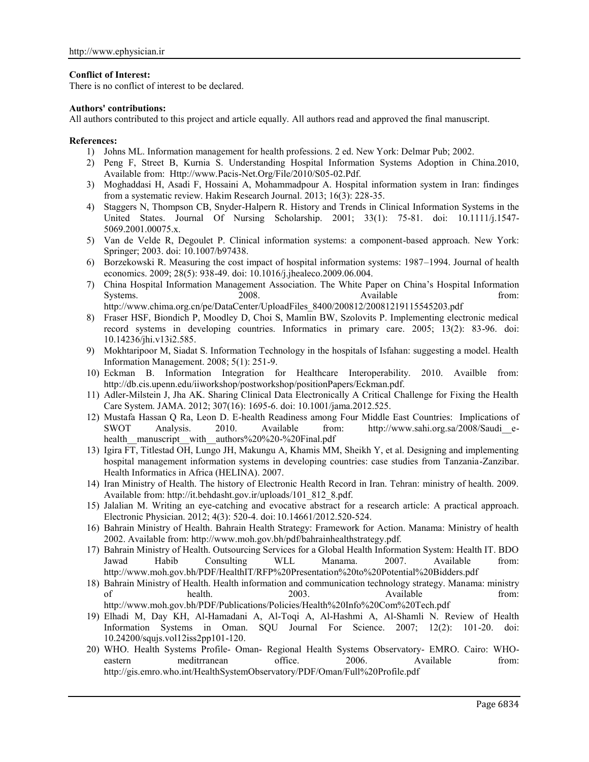## **Conflict of Interest:**

There is no conflict of interest to be declared.

### **Authors' contributions:**

All authors contributed to this project and article equally. All authors read and approved the final manuscript.

## **References:**

- 1) Johns ML. Information management for health professions. 2 ed. New York: Delmar Pub; 2002.
- 2) Peng F, Street B, Kurnia S. Understanding Hospital Information Systems Adoption in China.2010, Available from: Http://www.Pacis-Net.Org/File/2010/S05-02.Pdf.
- 3) Moghaddasi H, Asadi F, Hossaini A, Mohammadpour A. Hospital information system in Iran: findinges from a systematic review. Hakim Research Journal. 2013; 16(3): 228-35.
- 4) Staggers N, Thompson CB, Snyder-Halpern R. History and Trends in Clinical Information Systems in the United States. Journal Of Nursing Scholarship. 2001; 33(1): 75-81. doi: 10.1111/j.1547- 5069.2001.00075.x.
- 5) Van de Velde R, Degoulet P. Clinical information systems: a component-based approach. New York: Springer; 2003. doi: 10.1007/b97438.
- 6) Borzekowski R. Measuring the cost impact of hospital information systems: 1987–1994. Journal of health economics. 2009; 28(5): 938-49. doi: 10.1016/j.jhealeco.2009.06.004.
- 7) China Hospital Information Management Association. The White Paper on China's Hospital Information Systems. 2008. 2008. Available from: http://www.chima.org.cn/pe/DataCenter/UploadFiles\_8400/200812/20081219115545203.pdf
- 8) Fraser HSF, Biondich P, Moodley D, Choi S, Mamlin BW, Szolovits P. Implementing electronic medical record systems in developing countries. Informatics in primary care. 2005; 13(2): 83-96. doi: 10.14236/jhi.v13i2.585.
- 9) Mokhtaripoor M, Siadat S. Information Technology in the hospitals of Isfahan: suggesting a model. Health Information Management. 2008; 5(1): 251-9.
- 10) Eckman B. Information Integration for Healthcare Interoperability. 2010. Availble from: http://db.cis.upenn.edu/iiworkshop/postworkshop/positionPapers/Eckman.pdf.
- 11) Adler-Milstein J, Jha AK. Sharing Clinical Data Electronically A Critical Challenge for Fixing the Health Care System. JAMA. 2012; 307(16): 1695-6. doi: 10.1001/jama.2012.525.
- 12) Mustafa Hassan Q Ra, Leon D. E-health Readiness among Four Middle East Countries: Implications of SWOT Analysis. 2010. Available from: http://www.sahi.org.sa/2008/Saudiehealth\_manuscript\_with\_authors%20%20-%20Final.pdf
- 13) Igira FT, Titlestad OH, Lungo JH, Makungu A, Khamis MM, Sheikh Y, et al. Designing and implementing hospital management information systems in developing countries: case studies from Tanzania-Zanzibar. Health Informatics in Africa (HELINA). 2007.
- 14) Iran Ministry of Health. The history of Electronic Health Record in Iran. Tehran: ministry of health. 2009. Available from: http://it.behdasht.gov.ir/uploads/101\_812\_8.pdf.
- 15) Jalalian M. Writing an eye-catching and evocative abstract for a research article: A practical approach. Electronic Physician. 2012; 4(3): 520-4. doi: 10.14661/2012.520-524.
- 16) Bahrain Ministry of Health. Bahrain Health Strategy: Framework for Action. Manama: Ministry of health 2002. Available from: http://www.moh.gov.bh/pdf/bahrainhealthstrategy.pdf.
- 17) Bahrain Ministry of Health. Outsourcing Services for a Global Health Information System: Health IT. BDO Jawad Habib Consulting WLL Manama. 2007. Available from: http://www.moh.gov.bh/PDF/HealthIT/RFP%20Presentation%20to%20Potential%20Bidders.pdf
- 18) Bahrain Ministry of Health. Health information and communication technology strategy. Manama: ministry of health. 2003. Available from: http://www.moh.gov.bh/PDF/Publications/Policies/Health%20Info%20Com%20Tech.pdf
- 19) Elhadi M, Day KH, Al-Hamadani A, Al-Toqi A, Al-Hashmi A, Al-Shamli N. Review of Health Information Systems in Oman. SQU Journal For Science. 2007; 12(2): 101-20. doi: 10.24200/squjs.vol12iss2pp101-120.
- 20) WHO. Health Systems Profile- Oman- Regional Health Systems Observatory- EMRO. Cairo: WHO eastern meditrranean office. 2006. Available from: http://gis.emro.who.int/HealthSystemObservatory/PDF/Oman/Full%20Profile.pdf